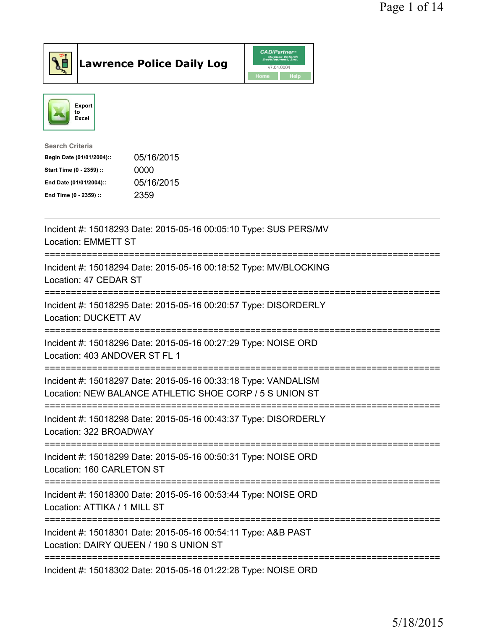



| <b>Search Criteria</b>                  |  |
|-----------------------------------------|--|
| 05/16/2015<br>Begin Date (01/01/2004):: |  |
| 0000<br>Start Time (0 - 2359) ::        |  |
| 05/16/2015<br>End Date (01/01/2004)::   |  |
| 2359<br>End Time (0 - 2359) ::          |  |

| Incident #: 15018293 Date: 2015-05-16 00:05:10 Type: SUS PERS/MV<br>Location: EMMETT ST                                             |
|-------------------------------------------------------------------------------------------------------------------------------------|
| Incident #: 15018294 Date: 2015-05-16 00:18:52 Type: MV/BLOCKING<br>Location: 47 CEDAR ST                                           |
| Incident #: 15018295 Date: 2015-05-16 00:20:57 Type: DISORDERLY<br>Location: DUCKETT AV                                             |
| Incident #: 15018296 Date: 2015-05-16 00:27:29 Type: NOISE ORD<br>Location: 403 ANDOVER ST FL 1                                     |
| Incident #: 15018297 Date: 2015-05-16 00:33:18 Type: VANDALISM<br>Location: NEW BALANCE ATHLETIC SHOE CORP / 5 S UNION ST           |
| Incident #: 15018298 Date: 2015-05-16 00:43:37 Type: DISORDERLY<br>Location: 322 BROADWAY<br>====================================== |
| Incident #: 15018299 Date: 2015-05-16 00:50:31 Type: NOISE ORD<br>Location: 160 CARLETON ST                                         |
| Incident #: 15018300 Date: 2015-05-16 00:53:44 Type: NOISE ORD<br>Location: ATTIKA / 1 MILL ST                                      |
| Incident #: 15018301 Date: 2015-05-16 00:54:11 Type: A&B PAST<br>Location: DAIRY QUEEN / 190 S UNION ST                             |
| Incident #: 15018302 Date: 2015-05-16 01:22:28 Type: NOISE ORD                                                                      |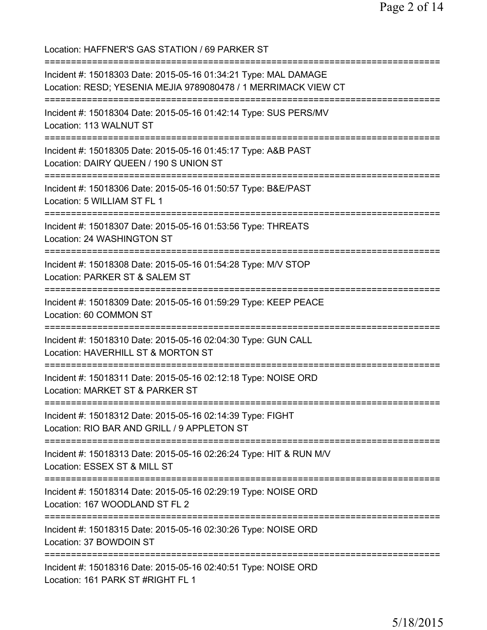Location: HAFFNER'S GAS STATION / 69 PARKER ST =========================================================================== Incident #: 15018303 Date: 2015-05-16 01:34:21 Type: MAL DAMAGE Location: RESD; YESENIA MEJIA 9789080478 / 1 MERRIMACK VIEW CT =========================================================================== Incident #: 15018304 Date: 2015-05-16 01:42:14 Type: SUS PERS/MV Location: 113 WALNUT ST =========================================================================== Incident #: 15018305 Date: 2015-05-16 01:45:17 Type: A&B PAST Location: DAIRY QUEEN / 190 S UNION ST =========================================================================== Incident #: 15018306 Date: 2015-05-16 01:50:57 Type: B&E/PAST Location: 5 WILLIAM ST FL 1 =========================================================================== Incident #: 15018307 Date: 2015-05-16 01:53:56 Type: THREATS Location: 24 WASHINGTON ST =========================================================================== Incident #: 15018308 Date: 2015-05-16 01:54:28 Type: M/V STOP Location: PARKER ST & SALEM ST =========================================================================== Incident #: 15018309 Date: 2015-05-16 01:59:29 Type: KEEP PEACE Location: 60 COMMON ST =========================================================================== Incident #: 15018310 Date: 2015-05-16 02:04:30 Type: GUN CALL Location: HAVERHILL ST & MORTON ST =========================================================================== Incident #: 15018311 Date: 2015-05-16 02:12:18 Type: NOISE ORD Location: MARKET ST & PARKER ST =========================================================================== Incident #: 15018312 Date: 2015-05-16 02:14:39 Type: FIGHT Location: RIO BAR AND GRILL / 9 APPLETON ST =========================================================================== Incident #: 15018313 Date: 2015-05-16 02:26:24 Type: HIT & RUN M/V Location: ESSEX ST & MILL ST =========================================================================== Incident #: 15018314 Date: 2015-05-16 02:29:19 Type: NOISE ORD Location: 167 WOODLAND ST FL 2 =========================================================================== Incident #: 15018315 Date: 2015-05-16 02:30:26 Type: NOISE ORD Location: 37 BOWDOIN ST =========================================================================== Incident #: 15018316 Date: 2015-05-16 02:40:51 Type: NOISE ORD Location: 161 PARK ST #RIGHT FL 1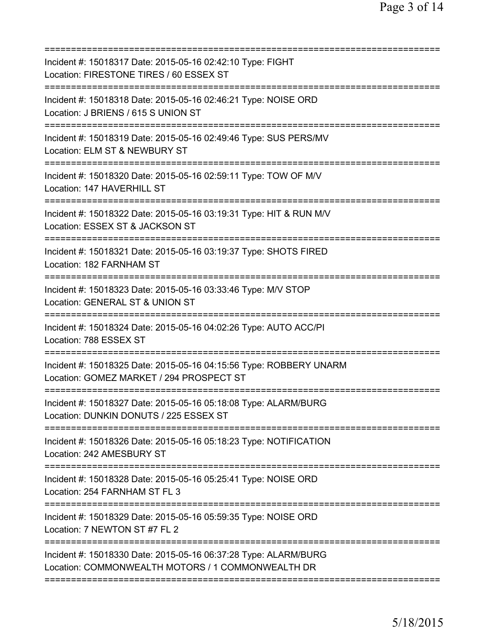| Incident #: 15018317 Date: 2015-05-16 02:42:10 Type: FIGHT<br>Location: FIRESTONE TIRES / 60 ESSEX ST                |
|----------------------------------------------------------------------------------------------------------------------|
| Incident #: 15018318 Date: 2015-05-16 02:46:21 Type: NOISE ORD<br>Location: J BRIENS / 615 S UNION ST                |
| Incident #: 15018319 Date: 2015-05-16 02:49:46 Type: SUS PERS/MV<br>Location: ELM ST & NEWBURY ST                    |
| Incident #: 15018320 Date: 2015-05-16 02:59:11 Type: TOW OF M/V<br>Location: 147 HAVERHILL ST                        |
| Incident #: 15018322 Date: 2015-05-16 03:19:31 Type: HIT & RUN M/V<br>Location: ESSEX ST & JACKSON ST                |
| Incident #: 15018321 Date: 2015-05-16 03:19:37 Type: SHOTS FIRED<br>Location: 182 FARNHAM ST                         |
| Incident #: 15018323 Date: 2015-05-16 03:33:46 Type: M/V STOP<br>Location: GENERAL ST & UNION ST                     |
| Incident #: 15018324 Date: 2015-05-16 04:02:26 Type: AUTO ACC/PI<br>Location: 788 ESSEX ST                           |
| Incident #: 15018325 Date: 2015-05-16 04:15:56 Type: ROBBERY UNARM<br>Location: GOMEZ MARKET / 294 PROSPECT ST       |
| Incident #: 15018327 Date: 2015-05-16 05:18:08 Type: ALARM/BURG<br>Location: DUNKIN DONUTS / 225 ESSEX ST            |
| Incident #: 15018326 Date: 2015-05-16 05:18:23 Type: NOTIFICATION<br>Location: 242 AMESBURY ST                       |
| Incident #: 15018328 Date: 2015-05-16 05:25:41 Type: NOISE ORD<br>Location: 254 FARNHAM ST FL 3                      |
| Incident #: 15018329 Date: 2015-05-16 05:59:35 Type: NOISE ORD<br>Location: 7 NEWTON ST #7 FL 2                      |
| Incident #: 15018330 Date: 2015-05-16 06:37:28 Type: ALARM/BURG<br>Location: COMMONWEALTH MOTORS / 1 COMMONWEALTH DR |
|                                                                                                                      |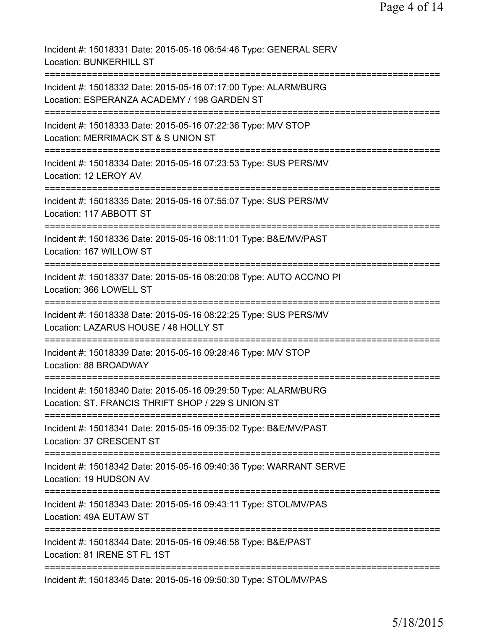Incident #: 15018331 Date: 2015-05-16 06:54:46 Type: GENERAL SERV Location: BUNKERHILL ST =========================================================================== Incident #: 15018332 Date: 2015-05-16 07:17:00 Type: ALARM/BURG Location: ESPERANZA ACADEMY / 198 GARDEN ST =========================================================================== Incident #: 15018333 Date: 2015-05-16 07:22:36 Type: M/V STOP Location: MERRIMACK ST & S UNION ST =========================================================================== Incident #: 15018334 Date: 2015-05-16 07:23:53 Type: SUS PERS/MV Location: 12 LEROY AV =========================================================================== Incident #: 15018335 Date: 2015-05-16 07:55:07 Type: SUS PERS/MV Location: 117 ABBOTT ST =========================================================================== Incident #: 15018336 Date: 2015-05-16 08:11:01 Type: B&E/MV/PAST Location: 167 WILLOW ST =========================================================================== Incident #: 15018337 Date: 2015-05-16 08:20:08 Type: AUTO ACC/NO PI Location: 366 LOWELL ST =========================================================================== Incident #: 15018338 Date: 2015-05-16 08:22:25 Type: SUS PERS/MV Location: LAZARUS HOUSE / 48 HOLLY ST =========================================================================== Incident #: 15018339 Date: 2015-05-16 09:28:46 Type: M/V STOP Location: 88 BROADWAY =========================================================================== Incident #: 15018340 Date: 2015-05-16 09:29:50 Type: ALARM/BURG Location: ST. FRANCIS THRIFT SHOP / 229 S UNION ST =========================================================================== Incident #: 15018341 Date: 2015-05-16 09:35:02 Type: B&E/MV/PAST Location: 37 CRESCENT ST =========================================================================== Incident #: 15018342 Date: 2015-05-16 09:40:36 Type: WARRANT SERVE Location: 19 HUDSON AV =========================================================================== Incident #: 15018343 Date: 2015-05-16 09:43:11 Type: STOL/MV/PAS Location: 49A EUTAW ST =========================================================================== Incident #: 15018344 Date: 2015-05-16 09:46:58 Type: B&E/PAST Location: 81 IRENE ST FL 1ST =========================================================================== Incident #: 15018345 Date: 2015-05-16 09:50:30 Type: STOL/MV/PAS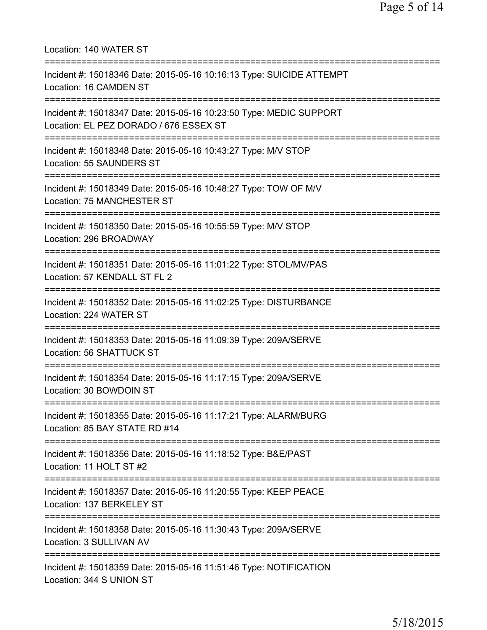| Location: 140 WATER ST                                                                                       |
|--------------------------------------------------------------------------------------------------------------|
| Incident #: 15018346 Date: 2015-05-16 10:16:13 Type: SUICIDE ATTEMPT<br>Location: 16 CAMDEN ST               |
| Incident #: 15018347 Date: 2015-05-16 10:23:50 Type: MEDIC SUPPORT<br>Location: EL PEZ DORADO / 676 ESSEX ST |
| Incident #: 15018348 Date: 2015-05-16 10:43:27 Type: M/V STOP<br>Location: 55 SAUNDERS ST                    |
| Incident #: 15018349 Date: 2015-05-16 10:48:27 Type: TOW OF M/V<br>Location: 75 MANCHESTER ST                |
| Incident #: 15018350 Date: 2015-05-16 10:55:59 Type: M/V STOP<br>Location: 296 BROADWAY                      |
| Incident #: 15018351 Date: 2015-05-16 11:01:22 Type: STOL/MV/PAS<br>Location: 57 KENDALL ST FL 2             |
| Incident #: 15018352 Date: 2015-05-16 11:02:25 Type: DISTURBANCE<br>Location: 224 WATER ST                   |
| Incident #: 15018353 Date: 2015-05-16 11:09:39 Type: 209A/SERVE<br>Location: 56 SHATTUCK ST                  |
| Incident #: 15018354 Date: 2015-05-16 11:17:15 Type: 209A/SERVE<br>Location: 30 BOWDOIN ST                   |
| Incident #: 15018355 Date: 2015-05-16 11:17:21 Type: ALARM/BURG<br>Location: 85 BAY STATE RD #14             |
| Incident #: 15018356 Date: 2015-05-16 11:18:52 Type: B&E/PAST<br>Location: 11 HOLT ST #2                     |
| Incident #: 15018357 Date: 2015-05-16 11:20:55 Type: KEEP PEACE<br>Location: 137 BERKELEY ST                 |
| Incident #: 15018358 Date: 2015-05-16 11:30:43 Type: 209A/SERVE<br>Location: 3 SULLIVAN AV                   |
| Incident #: 15018359 Date: 2015-05-16 11:51:46 Type: NOTIFICATION<br>Location: 344 S UNION ST                |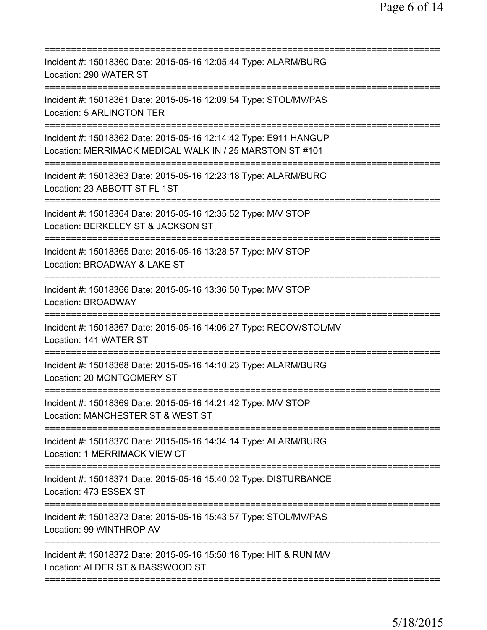| Incident #: 15018360 Date: 2015-05-16 12:05:44 Type: ALARM/BURG<br>Location: 290 WATER ST                                            |
|--------------------------------------------------------------------------------------------------------------------------------------|
| Incident #: 15018361 Date: 2015-05-16 12:09:54 Type: STOL/MV/PAS<br>Location: 5 ARLINGTON TER                                        |
| Incident #: 15018362 Date: 2015-05-16 12:14:42 Type: E911 HANGUP<br>Location: MERRIMACK MEDICAL WALK IN / 25 MARSTON ST #101         |
| Incident #: 15018363 Date: 2015-05-16 12:23:18 Type: ALARM/BURG<br>Location: 23 ABBOTT ST FL 1ST                                     |
| Incident #: 15018364 Date: 2015-05-16 12:35:52 Type: M/V STOP<br>Location: BERKELEY ST & JACKSON ST<br><u> :====================</u> |
| Incident #: 15018365 Date: 2015-05-16 13:28:57 Type: M/V STOP<br>Location: BROADWAY & LAKE ST                                        |
| Incident #: 15018366 Date: 2015-05-16 13:36:50 Type: M/V STOP<br><b>Location: BROADWAY</b>                                           |
| Incident #: 15018367 Date: 2015-05-16 14:06:27 Type: RECOV/STOL/MV<br>Location: 141 WATER ST                                         |
| Incident #: 15018368 Date: 2015-05-16 14:10:23 Type: ALARM/BURG<br>Location: 20 MONTGOMERY ST                                        |
| Incident #: 15018369 Date: 2015-05-16 14:21:42 Type: M/V STOP<br>Location: MANCHESTER ST & WEST ST                                   |
| Incident #: 15018370 Date: 2015-05-16 14:34:14 Type: ALARM/BURG<br>Location: 1 MERRIMACK VIEW CT                                     |
| Incident #: 15018371 Date: 2015-05-16 15:40:02 Type: DISTURBANCE<br>Location: 473 ESSEX ST                                           |
| Incident #: 15018373 Date: 2015-05-16 15:43:57 Type: STOL/MV/PAS<br>Location: 99 WINTHROP AV                                         |
| Incident #: 15018372 Date: 2015-05-16 15:50:18 Type: HIT & RUN M/V<br>Location: ALDER ST & BASSWOOD ST                               |
|                                                                                                                                      |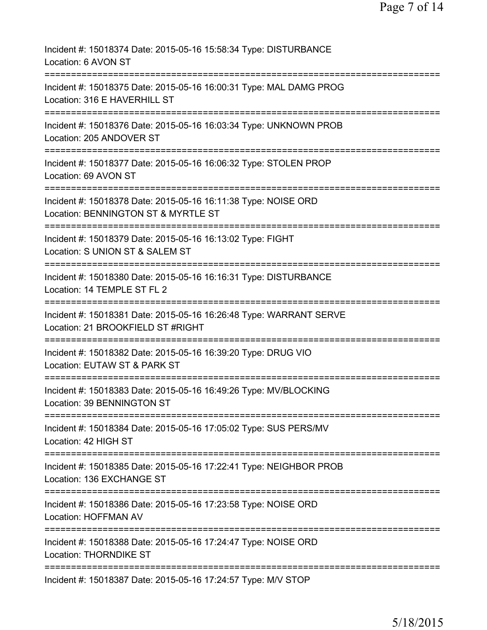| Incident #: 15018374 Date: 2015-05-16 15:58:34 Type: DISTURBANCE<br>Location: 6 AVON ST                                                  |
|------------------------------------------------------------------------------------------------------------------------------------------|
| Incident #: 15018375 Date: 2015-05-16 16:00:31 Type: MAL DAMG PROG<br>Location: 316 E HAVERHILL ST                                       |
| Incident #: 15018376 Date: 2015-05-16 16:03:34 Type: UNKNOWN PROB<br>Location: 205 ANDOVER ST                                            |
| Incident #: 15018377 Date: 2015-05-16 16:06:32 Type: STOLEN PROP<br>Location: 69 AVON ST                                                 |
| Incident #: 15018378 Date: 2015-05-16 16:11:38 Type: NOISE ORD<br>Location: BENNINGTON ST & MYRTLE ST                                    |
| Incident #: 15018379 Date: 2015-05-16 16:13:02 Type: FIGHT<br>Location: S UNION ST & SALEM ST                                            |
| Incident #: 15018380 Date: 2015-05-16 16:16:31 Type: DISTURBANCE<br>Location: 14 TEMPLE ST FL 2<br>;==================================== |
| Incident #: 15018381 Date: 2015-05-16 16:26:48 Type: WARRANT SERVE<br>Location: 21 BROOKFIELD ST #RIGHT                                  |
| Incident #: 15018382 Date: 2015-05-16 16:39:20 Type: DRUG VIO<br>Location: EUTAW ST & PARK ST                                            |
| Incident #: 15018383 Date: 2015-05-16 16:49:26 Type: MV/BLOCKING<br>Location: 39 BENNINGTON ST                                           |
| ========================<br>Incident #: 15018384 Date: 2015-05-16 17:05:02 Type: SUS PERS/MV<br>Location: 42 HIGH ST                     |
| Incident #: 15018385 Date: 2015-05-16 17:22:41 Type: NEIGHBOR PROB<br>Location: 136 EXCHANGE ST                                          |
| Incident #: 15018386 Date: 2015-05-16 17:23:58 Type: NOISE ORD<br><b>Location: HOFFMAN AV</b>                                            |
| Incident #: 15018388 Date: 2015-05-16 17:24:47 Type: NOISE ORD<br>Location: THORNDIKE ST                                                 |
| Incident #: 15018387 Date: 2015-05-16 17:24:57 Type: M/V STOP                                                                            |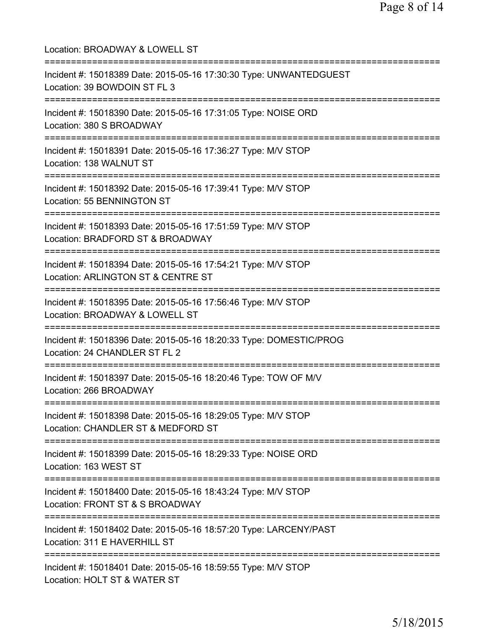Location: BROADWAY & LOWELL ST =========================================================================== Incident #: 15018389 Date: 2015-05-16 17:30:30 Type: UNWANTEDGUEST Location: 39 BOWDOIN ST FL 3 =========================================================================== Incident #: 15018390 Date: 2015-05-16 17:31:05 Type: NOISE ORD Location: 380 S BROADWAY =========================================================================== Incident #: 15018391 Date: 2015-05-16 17:36:27 Type: M/V STOP Location: 138 WALNUT ST =========================================================================== Incident #: 15018392 Date: 2015-05-16 17:39:41 Type: M/V STOP Location: 55 BENNINGTON ST =========================================================================== Incident #: 15018393 Date: 2015-05-16 17:51:59 Type: M/V STOP Location: BRADFORD ST & BROADWAY =========================================================================== Incident #: 15018394 Date: 2015-05-16 17:54:21 Type: M/V STOP Location: ARLINGTON ST & CENTRE ST =========================================================================== Incident #: 15018395 Date: 2015-05-16 17:56:46 Type: M/V STOP Location: BROADWAY & LOWELL ST =========================================================================== Incident #: 15018396 Date: 2015-05-16 18:20:33 Type: DOMESTIC/PROG Location: 24 CHANDLER ST FL 2 =========================================================================== Incident #: 15018397 Date: 2015-05-16 18:20:46 Type: TOW OF M/V Location: 266 BROADWAY =========================================================================== Incident #: 15018398 Date: 2015-05-16 18:29:05 Type: M/V STOP Location: CHANDLER ST & MEDFORD ST =========================================================================== Incident #: 15018399 Date: 2015-05-16 18:29:33 Type: NOISE ORD Location: 163 WEST ST =========================================================================== Incident #: 15018400 Date: 2015-05-16 18:43:24 Type: M/V STOP Location: FRONT ST & S BROADWAY =========================================================================== Incident #: 15018402 Date: 2015-05-16 18:57:20 Type: LARCENY/PAST Location: 311 E HAVERHILL ST =========================================================================== Incident #: 15018401 Date: 2015-05-16 18:59:55 Type: M/V STOP Location: HOLT ST & WATER ST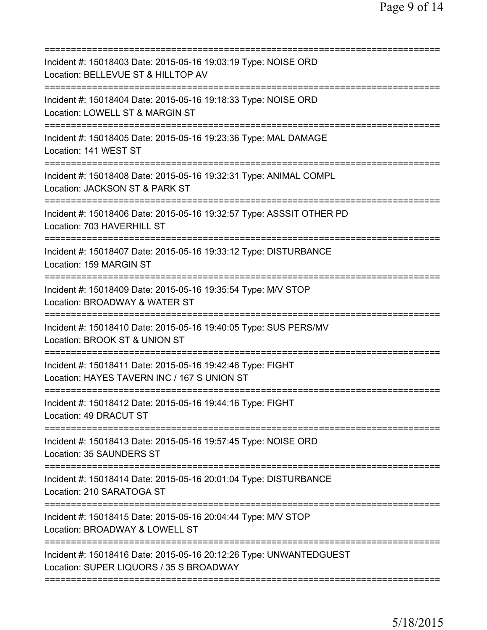| Incident #: 15018403 Date: 2015-05-16 19:03:19 Type: NOISE ORD<br>Location: BELLEVUE ST & HILLTOP AV          |
|---------------------------------------------------------------------------------------------------------------|
| Incident #: 15018404 Date: 2015-05-16 19:18:33 Type: NOISE ORD<br>Location: LOWELL ST & MARGIN ST             |
| Incident #: 15018405 Date: 2015-05-16 19:23:36 Type: MAL DAMAGE<br>Location: 141 WEST ST                      |
| Incident #: 15018408 Date: 2015-05-16 19:32:31 Type: ANIMAL COMPL<br>Location: JACKSON ST & PARK ST           |
| Incident #: 15018406 Date: 2015-05-16 19:32:57 Type: ASSSIT OTHER PD<br>Location: 703 HAVERHILL ST            |
| Incident #: 15018407 Date: 2015-05-16 19:33:12 Type: DISTURBANCE<br>Location: 159 MARGIN ST                   |
| Incident #: 15018409 Date: 2015-05-16 19:35:54 Type: M/V STOP<br>Location: BROADWAY & WATER ST                |
| Incident #: 15018410 Date: 2015-05-16 19:40:05 Type: SUS PERS/MV<br>Location: BROOK ST & UNION ST             |
| Incident #: 15018411 Date: 2015-05-16 19:42:46 Type: FIGHT<br>Location: HAYES TAVERN INC / 167 S UNION ST     |
| Incident #: 15018412 Date: 2015-05-16 19:44:16 Type: FIGHT<br>Location: 49 DRACUT ST                          |
| Incident #: 15018413 Date: 2015-05-16 19:57:45 Type: NOISE ORD<br>Location: 35 SAUNDERS ST                    |
| Incident #: 15018414 Date: 2015-05-16 20:01:04 Type: DISTURBANCE<br>Location: 210 SARATOGA ST                 |
| Incident #: 15018415 Date: 2015-05-16 20:04:44 Type: M/V STOP<br>Location: BROADWAY & LOWELL ST               |
| Incident #: 15018416 Date: 2015-05-16 20:12:26 Type: UNWANTEDGUEST<br>Location: SUPER LIQUORS / 35 S BROADWAY |
|                                                                                                               |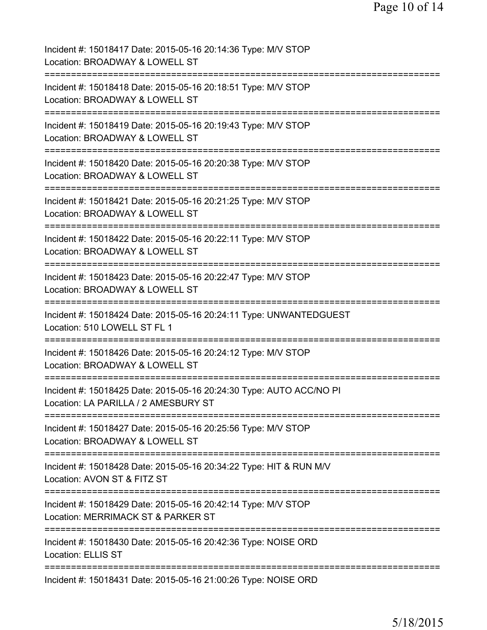| Incident #: 15018417 Date: 2015-05-16 20:14:36 Type: M/V STOP<br>Location: BROADWAY & LOWELL ST                                                                                          |
|------------------------------------------------------------------------------------------------------------------------------------------------------------------------------------------|
| Incident #: 15018418 Date: 2015-05-16 20:18:51 Type: M/V STOP<br>Location: BROADWAY & LOWELL ST                                                                                          |
| Incident #: 15018419 Date: 2015-05-16 20:19:43 Type: M/V STOP<br>Location: BROADWAY & LOWELL ST                                                                                          |
| Incident #: 15018420 Date: 2015-05-16 20:20:38 Type: M/V STOP<br>Location: BROADWAY & LOWELL ST                                                                                          |
| Incident #: 15018421 Date: 2015-05-16 20:21:25 Type: M/V STOP<br>Location: BROADWAY & LOWELL ST                                                                                          |
| Incident #: 15018422 Date: 2015-05-16 20:22:11 Type: M/V STOP<br>Location: BROADWAY & LOWELL ST                                                                                          |
| Incident #: 15018423 Date: 2015-05-16 20:22:47 Type: M/V STOP<br>Location: BROADWAY & LOWELL ST<br>=========                                                                             |
| Incident #: 15018424 Date: 2015-05-16 20:24:11 Type: UNWANTEDGUEST<br>Location: 510 LOWELL ST FL 1                                                                                       |
| Incident #: 15018426 Date: 2015-05-16 20:24:12 Type: M/V STOP<br>Location: BROADWAY & LOWELL ST                                                                                          |
| Incident #: 15018425 Date: 2015-05-16 20:24:30 Type: AUTO ACC/NO PI<br>Location: LA PARILLA / 2 AMESBURY ST                                                                              |
| Incident #: 15018427 Date: 2015-05-16 20:25:56 Type: M/V STOP<br>Location: BROADWAY & LOWELL ST                                                                                          |
| _______________________________<br>===========================<br>:================<br>Incident #: 15018428 Date: 2015-05-16 20:34:22 Type: HIT & RUN M/V<br>Location: AVON ST & FITZ ST |
| Incident #: 15018429 Date: 2015-05-16 20:42:14 Type: M/V STOP<br>Location: MERRIMACK ST & PARKER ST                                                                                      |
| Incident #: 15018430 Date: 2015-05-16 20:42:36 Type: NOISE ORD<br><b>Location: ELLIS ST</b>                                                                                              |
| Incident #: 15018431 Date: 2015-05-16 21:00:26 Type: NOISE ORD                                                                                                                           |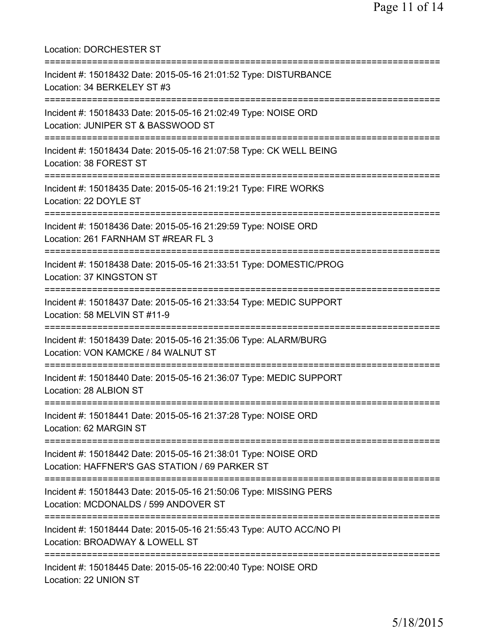Location: DORCHESTER ST =========================================================================== Incident #: 15018432 Date: 2015-05-16 21:01:52 Type: DISTURBANCE Location: 34 BERKELEY ST #3 =========================================================================== Incident #: 15018433 Date: 2015-05-16 21:02:49 Type: NOISE ORD Location: JUNIPER ST & BASSWOOD ST =========================================================================== Incident #: 15018434 Date: 2015-05-16 21:07:58 Type: CK WELL BEING Location: 38 FOREST ST =========================================================================== Incident #: 15018435 Date: 2015-05-16 21:19:21 Type: FIRE WORKS Location: 22 DOYLE ST =========================================================================== Incident #: 15018436 Date: 2015-05-16 21:29:59 Type: NOISE ORD Location: 261 FARNHAM ST #REAR FL 3 =========================================================================== Incident #: 15018438 Date: 2015-05-16 21:33:51 Type: DOMESTIC/PROG Location: 37 KINGSTON ST =========================================================================== Incident #: 15018437 Date: 2015-05-16 21:33:54 Type: MEDIC SUPPORT Location: 58 MELVIN ST #11-9 =========================================================================== Incident #: 15018439 Date: 2015-05-16 21:35:06 Type: ALARM/BURG Location: VON KAMCKE / 84 WALNUT ST =========================================================================== Incident #: 15018440 Date: 2015-05-16 21:36:07 Type: MEDIC SUPPORT Location: 28 ALBION ST =========================================================================== Incident #: 15018441 Date: 2015-05-16 21:37:28 Type: NOISE ORD Location: 62 MARGIN ST =========================================================================== Incident #: 15018442 Date: 2015-05-16 21:38:01 Type: NOISE ORD Location: HAFFNER'S GAS STATION / 69 PARKER ST =========================================================================== Incident #: 15018443 Date: 2015-05-16 21:50:06 Type: MISSING PERS Location: MCDONALDS / 599 ANDOVER ST =========================================================================== Incident #: 15018444 Date: 2015-05-16 21:55:43 Type: AUTO ACC/NO PI Location: BROADWAY & LOWELL ST =========================================================================== Incident #: 15018445 Date: 2015-05-16 22:00:40 Type: NOISE ORD Location: 22 UNION ST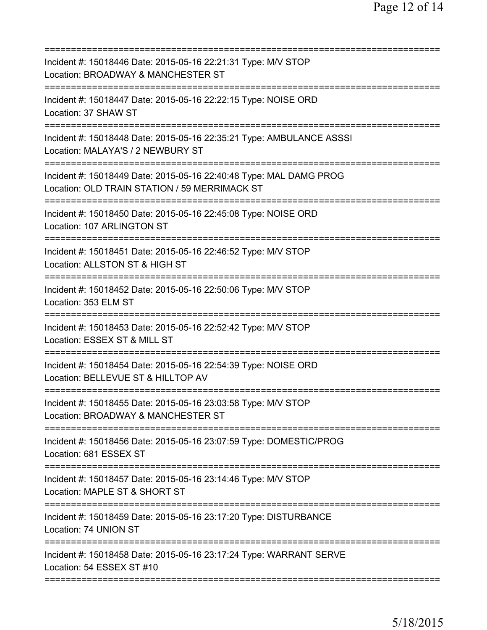| Incident #: 15018446 Date: 2015-05-16 22:21:31 Type: M/V STOP<br>Location: BROADWAY & MANCHESTER ST                                   |
|---------------------------------------------------------------------------------------------------------------------------------------|
| Incident #: 15018447 Date: 2015-05-16 22:22:15 Type: NOISE ORD<br>Location: 37 SHAW ST                                                |
| Incident #: 15018448 Date: 2015-05-16 22:35:21 Type: AMBULANCE ASSSI<br>Location: MALAYA'S / 2 NEWBURY ST<br>======================== |
| Incident #: 15018449 Date: 2015-05-16 22:40:48 Type: MAL DAMG PROG<br>Location: OLD TRAIN STATION / 59 MERRIMACK ST                   |
| Incident #: 15018450 Date: 2015-05-16 22:45:08 Type: NOISE ORD<br>Location: 107 ARLINGTON ST                                          |
| Incident #: 15018451 Date: 2015-05-16 22:46:52 Type: M/V STOP<br>Location: ALLSTON ST & HIGH ST                                       |
| Incident #: 15018452 Date: 2015-05-16 22:50:06 Type: M/V STOP<br>Location: 353 ELM ST<br>====================                         |
| Incident #: 15018453 Date: 2015-05-16 22:52:42 Type: M/V STOP<br>Location: ESSEX ST & MILL ST                                         |
| Incident #: 15018454 Date: 2015-05-16 22:54:39 Type: NOISE ORD<br>Location: BELLEVUE ST & HILLTOP AV                                  |
| Incident #: 15018455 Date: 2015-05-16 23:03:58 Type: M/V STOP<br>Location: BROADWAY & MANCHESTER ST                                   |
| Incident #: 15018456 Date: 2015-05-16 23:07:59 Type: DOMESTIC/PROG<br>Location: 681 ESSEX ST                                          |
| ===========================<br>Incident #: 15018457 Date: 2015-05-16 23:14:46 Type: M/V STOP<br>Location: MAPLE ST & SHORT ST         |
| =========================<br>Incident #: 15018459 Date: 2015-05-16 23:17:20 Type: DISTURBANCE<br>Location: 74 UNION ST                |
| Incident #: 15018458 Date: 2015-05-16 23:17:24 Type: WARRANT SERVE<br>Location: 54 ESSEX ST #10                                       |
|                                                                                                                                       |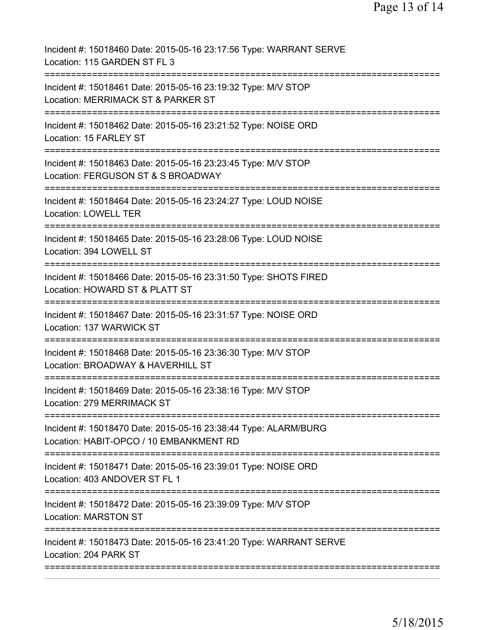Incident #: 15018460 Date: 2015-05-16 23:17:56 Type: WARRANT SERVE Location: 115 GARDEN ST FL 3 =========================================================================== Incident #: 15018461 Date: 2015-05-16 23:19:32 Type: M/V STOP Location: MERRIMACK ST & PARKER ST =========================================================================== Incident #: 15018462 Date: 2015-05-16 23:21:52 Type: NOISE ORD Location: 15 FARLEY ST =========================================================================== Incident #: 15018463 Date: 2015-05-16 23:23:45 Type: M/V STOP Location: FERGUSON ST & S BROADWAY =========================================================================== Incident #: 15018464 Date: 2015-05-16 23:24:27 Type: LOUD NOISE Location: LOWELL TER =========================================================================== Incident #: 15018465 Date: 2015-05-16 23:28:06 Type: LOUD NOISE Location: 394 LOWELL ST =========================================================================== Incident #: 15018466 Date: 2015-05-16 23:31:50 Type: SHOTS FIRED Location: HOWARD ST & PLATT ST =========================================================================== Incident #: 15018467 Date: 2015-05-16 23:31:57 Type: NOISE ORD Location: 137 WARWICK ST =========================================================================== Incident #: 15018468 Date: 2015-05-16 23:36:30 Type: M/V STOP Location: BROADWAY & HAVERHILL ST =========================================================================== Incident #: 15018469 Date: 2015-05-16 23:38:16 Type: M/V STOP Location: 279 MERRIMACK ST =========================================================================== Incident #: 15018470 Date: 2015-05-16 23:38:44 Type: ALARM/BURG Location: HABIT-OPCO / 10 EMBANKMENT RD =========================================================================== Incident #: 15018471 Date: 2015-05-16 23:39:01 Type: NOISE ORD Location: 403 ANDOVER ST FL 1 =========================================================================== Incident #: 15018472 Date: 2015-05-16 23:39:09 Type: M/V STOP Location: MARSTON ST =========================================================================== Incident #: 15018473 Date: 2015-05-16 23:41:20 Type: WARRANT SERVE Location: 204 PARK ST ===========================================================================